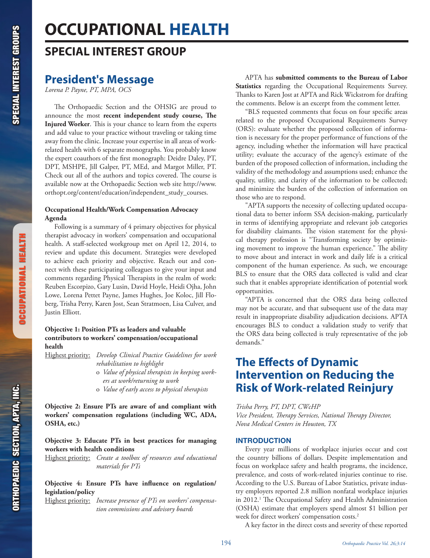# **OCCUPATIONAL HEALTH**

# **SPECIAL INTEREST GROUP**

# **President's Message**

*Lorena P. Payne, PT, MPA, OCS*

The Orthopaedic Section and the OHSIG are proud to announce the most **recent independent study course, The Injured Worker**. This is your chance to learn from the experts and add value to your practice without traveling or taking time away from the clinic. Increase your expertise in all areas of workrelated health with 6 separate monographs. You probably know the expert coauthors of the first monograph: Deidre Daley, PT, DPT, MSHPE, Jill Galper, PT, MEd, and Margot Miller, PT. Check out all of the authors and topics covered. The course is available now at the Orthopaedic Section web site http://www. orthopt.org/content/education/independent\_study\_courses.

# **Occupational Health/Work Compensation Advocacy Agenda**

Following is a summary of 4 primary objectives for physical therapist advocacy in workers' compensation and occupational health. A staff-selected workgroup met on April 12, 2014, to review and update this document. Strategies were developed to achieve each priority and objective. Reach out and connect with these participating colleagues to give your input and comments regarding Physical Therapists in the realm of work: Reuben Escorpizo, Gary Lusin, David Hoyle, Heidi Ojha, John Lowe, Lorena Pettet Payne, James Hughes, Joe Koloc, Jill Floberg, Trisha Perry, Karen Jost, Sean Stratmoen, Lisa Culver, and Justin Elliott.

# **Objective 1: Position PTs as leaders and valuable contributors to workers' compensation/occupational health**

- Highest priority: *Develop Clinical Practice Guidelines for work rehabilitation to highlight*
	- o *Value of physical therapists in keeping workers at work/returning to work*
	- o *Value of early access to physical therapists*

**Objective 2: Ensure PTs are aware of and compliant with workers' compensation regulations (including WC, ADA, OSHA, etc.)**

# **Objective 3: Educate PTs in best practices for managing workers with health conditions**

Highest priority: *Create a toolbox of resources and educational materials for PTs*

# **Objective 4: Ensure PTs have influence on regulation/ legislation/policy**

Highest priority: *Increase presence of PTs on workers' compensation commissions and advisory boards*

APTA has **submitted comments to the Bureau of Labor Statistics** regarding the Occupational Requirements Survey. Thanks to Karen Jost at APTA and Rick Wickstrom for drafting the comments. Below is an excerpt from the comment letter.

"BLS requested comments that focus on four specific areas related to the proposed Occupational Requirements Survey (ORS): evaluate whether the proposed collection of information is necessary for the proper performance of functions of the agency, including whether the information will have practical utility; evaluate the accuracy of the agency's estimate of the burden of the proposed collection of information, including the validity of the methodology and assumptions used; enhance the quality, utility, and clarity of the information to be collected; and minimize the burden of the collection of information on those who are to respond.

"APTA supports the necessity of collecting updated occupational data to better inform SSA decision-making, particularly in terms of identifying appropriate and relevant job categories for disability claimants. The vision statement for the physical therapy profession is "Transforming society by optimizing movement to improve the human experience." The ability to move about and interact in work and daily life is a critical component of the human experience. As such, we encourage BLS to ensure that the ORS data collected is valid and clear such that it enables appropriate identification of potential work opportunities.

"APTA is concerned that the ORS data being collected may not be accurate, and that subsequent use of the data may result in inappropriate disability adjudication decisions. APTA encourages BLS to conduct a validation study to verify that the ORS data being collected is truly representative of the job demands."

# **The Effects of Dynamic Intervention on Reducing the Risk of Work-related Reinjury**

*Trisha Perry, PT, DPT, CWcHP Vice President, Therapy Services, National Therapy Director, Nova Medical Centers in Houston, TX*

# INTRODUCTION

Every year millions of workplace injuries occur and cost the country billions of dollars. Despite implementation and focus on workplace safety and health programs, the incidence, prevalence, and costs of work-related injuries continue to rise. According to the U.S. Bureau of Labor Statistics, private industry employers reported 2.8 million nonfatal workplace injuries in 2012.1 The Occupational Safety and Health Administration (OSHA) estimate that employers spend almost \$1 billion per week for direct workers' compensation costs.<sup>2</sup>

A key factor in the direct costs and severity of these reported

OCCUPATIONAL HEALTH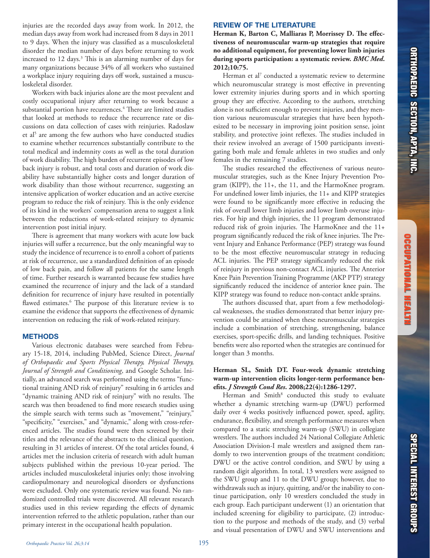injuries are the recorded days away from work. In 2012, the median days away from work had increased from 8 days in 2011 to 9 days. When the injury was classified as a musculoskeletal disorder the median number of days before returning to work increased to 12 days.<sup>3</sup> This is an alarming number of days for many organizations because 34% of all workers who sustained a workplace injury requiring days off work, sustained a musculoskeletal disorder.

Workers with back injuries alone are the most prevalent and costly occupational injury after returning to work because a substantial portion have recurrences.<sup>4</sup> There are limited studies that looked at methods to reduce the recurrence rate or discussions on data collection of cases with reinjuries. Radoslaw et al<sup>5</sup> are among the few authors who have conducted studies to examine whether recurrences substantially contribute to the total medical and indemnity costs as well as the total duration of work disability. The high burden of recurrent episodes of low back injury is robust, and total costs and duration of work disability have substantially higher costs and longer duration of work disability than those without recurrence, suggesting an intensive application of worker education and an active exercise program to reduce the risk of reinjury. This is the only evidence of its kind in the workers' compensation arena to suggest a link between the reductions of work-related reinjury to dynamic intervention post initial injury.

There is agreement that many workers with acute low back injuries will suffer a recurrence, but the only meaningful way to study the incidence of recurrence is to enroll a cohort of patients at risk of recurrence, use a standardized definition of an episode of low back pain, and follow all patients for the same length of time. Further research is warranted because few studies have examined the recurrence of injury and the lack of a standard definition for recurrence of injury have resulted in potentially flawed estimates.<sup>6</sup> The purpose of this literature review is to examine the evidence that supports the effectiveness of dynamic intervention on reducing the risk of work-related reinjury.

### **METHODS**

Various electronic databases were searched from February 15-18, 2014, including PubMed, Science Direct, *Journal of Orthopaedic and Sports Physical Therapy, Physical Therapy, Journal of Strength and Conditioning*, and Google Scholar. Initially, an advanced search was performed using the terms "functional training AND risk of reinjury" resulting in 6 articles and "dynamic training AND risk of reinjury" with no results. The search was then broadened to find more research studies using the simple search with terms such as "movement," "reinjury," "specificity," "exercises," and "dynamic," along with cross-referenced articles. The studies found were then screened by their titles and the relevance of the abstracts to the clinical question, resulting in 31 articles of interest. Of the total articles found, 4 articles met the inclusion criteria of research with adult human subjects published within the previous 10-year period. The articles included musculoskeletal injuries only; those involving cardiopulmonary and neurological disorders or dysfunctions were excluded. Only one systematic review was found. No randomized controlled trials were discovered. All relevant research studies used in this review regarding the effects of dynamic intervention referred to the athletic population, rather than our primary interest in the occupational health population.

# REVIEW OF THE LITERATURE

**Herman K, Barton C, Malliaras P, Morrissey D. The effectiveness of neuromuscular warm-up strategies that require no additional equipment, for preventing lower limb injuries during sports participation: a systematic review.** *BMC Med***. 2012;10:75.**

Herman et al<sup>7</sup> conducted a systematic review to determine which neuromuscular strategy is most effective in preventing lower extremity injuries during sports and in which sporting group they are effective. According to the authors, stretching alone is not sufficient enough to prevent injuries, and they mention various neuromuscular strategies that have been hypothesized to be necessary in improving joint position sense, joint stability, and protective joint reflexes. The studies included in their review involved an average of 1500 participants investigating both male and female athletes in two studies and only females in the remaining 7 studies.

The studies researched the effectiveness of various neuromuscular strategies, such as the Knee Injury Prevention Program (KIPP), the 11+, the 11, and the HarmoKnee program. For undefined lower limb injuries, the 11+ and KIPP strategies were found to be significantly more effective in reducing the risk of overall lower limb injuries and lower limb overuse injuries. For hip and thigh injuries, the 11 program demonstrated reduced risk of groin injuries. The HarmoKnee and the 11+ program significantly reduced the risk of knee injuries. The Prevent Injury and Enhance Performance (PEP) strategy was found to be the most effective neuromuscular strategy in reducing ACL injuries. The PEP strategy significantly reduced the risk of reinjury in previous non-contact ACL injuries. The Anterior Knee Pain Prevention Training Programme (AKP PTP) strategy significantly reduced the incidence of anterior knee pain. The KIPP strategy was found to reduce non-contact ankle sprains.

The authors discussed that, apart from a few methodological weaknesses, the studies demonstrated that better injury prevention could be attained when these neuromuscular strategies include a combination of stretching, strengthening, balance exercises, sport-specific drills, and landing techniques. Positive benefits were also reported when the strategies are continued for longer than 3 months.

## **Herman SL, Smith DT. Four-week dynamic stretching warm-up intervention elicits longer-term performance benefits.** *J Strength Cond Res***. 2008;22(4):1286-1297.**

Herman and Smith<sup>8</sup> conducted this study to evaluate whether a dynamic stretching warm-up (DWU) performed daily over 4 weeks positively influenced power, speed, agility, endurance, flexibility, and strength performance measures when compared to a static stretching warm-up (SWU) in collegiate wrestlers. The authors included 24 National Collegiate Athletic Association Division-I male wrestlers and assigned them randomly to two intervention groups of the treatment condition; DWU or the active control condition, and SWU by using a random digit algorithm. In total, 13 wrestlers were assigned to the SWU group and 11 to the DWU group; however, due to withdrawals such as injury, quitting, and/or the inability to continue participation, only 10 wrestlers concluded the study in each group. Each participant underwent (1) an orientation that included screening for eligibility to participate, (2) introduction to the purpose and methods of the study, and (3) verbal and visual presentation of DWU and SWU interventions and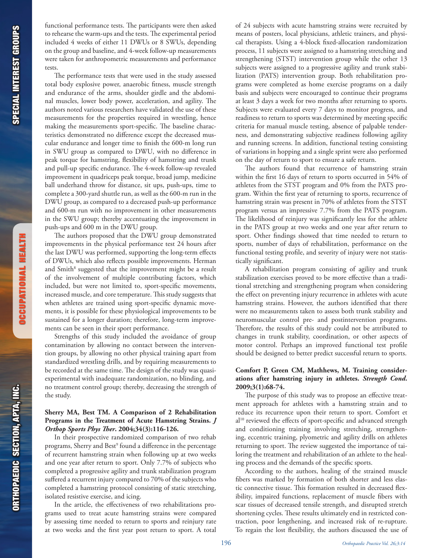OCCUPATIONAL HEALTH

ORTHOPAEDIC SECTION, APTA, INC.<br>Special interest groups **ORTHOPAEDIC SECTION, APTA, INC.** 

functional performance tests. The participants were then asked to rehearse the warm-ups and the tests. The experimental period included 4 weeks of either 11 DWUs or 8 SWUs, depending on the group and baseline, and 4-week follow-up measurements were taken for anthropometric measurements and performance tests.

The performance tests that were used in the study assessed total body explosive power, anaerobic fitness, muscle strength and endurance of the arms, shoulder girdle and the abdominal muscles, lower body power, acceleration, and agility. The authors noted various researchers have validated the use of these measurements for the properties required in wrestling, hence making the measurements sport-specific. The baseline characteristics demonstrated no difference except the decreased muscular endurance and longer time to finish the 600-m long run in SWU group as compared to DWU, with no difference in peak torque for hamstring, flexibility of hamstring and trunk and pull-up specific endurance. The 4-week follow-up revealed improvement in quadriceps peak torque, broad jump, medicine ball underhand throw for distance, sit ups, push-ups, time to complete a 300-yard shuttle run, as well as the 600-m run in the DWU group, as compared to a decreased push-up performance and 600-m run with no improvement in other measurements in the SWU group; thereby accentuating the improvement in push-ups and 600 m in the DWU group.

The authors proposed that the DWU group demonstrated improvements in the physical performance test 24 hours after the last DWU was performed, supporting the long-term effects of DWUs, which also reflects possible improvements. Herman and Smith<sup>8</sup> suggested that the improvement might be a result of the involvement of multiple contributing factors, which included, but were not limited to, sport-specific movements, increased muscle, and core temperature. This study suggests that when athletes are trained using sport-specific dynamic movements, it is possible for these physiological improvements to be sustained for a longer duration; therefore, long-term improvements can be seen in their sport performance.

Strengths of this study included the avoidance of group contamination by allowing no contact between the intervention groups, by allowing no other physical training apart from standardized wrestling drills, and by requiring measurements to be recorded at the same time. The design of the study was quasiexperimental with inadequate randomization, no blinding, and no treatment control group; thereby, decreasing the strength of the study.

# **Sherry MA, Best TM. A Comparison of 2 Rehabilitation Programs in the Treatment of Acute Hamstring Strains.** *J Orthop Sports Phys Ther***. 2004;34(3):116-126.**

In their prospective randomized comparison of two rehab programs, Sherry and Best<sup>9</sup> found a difference in the percentage of recurrent hamstring strain when following up at two weeks and one year after return to sport. Only 7.7% of subjects who completed a progressive agility and trunk stabilization program suffered a recurrent injury compared to 70% of the subjects who completed a hamstring protocol consisting of static stretching, isolated resistive exercise, and icing.

In the article, the effectiveness of two rehabilitations programs used to treat acute hamstring strains were compared by assessing time needed to return to sports and reinjury rate at two weeks and the first year post return to sport. A total

of 24 subjects with acute hamstring strains were recruited by means of posters, local physicians, athletic trainers, and physical therapists. Using a 4-block fixed-allocation randomization process, 11 subjects were assigned to a hamstring stretching and strengthening (STST) intervention group while the other 13 subjects were assigned to a progressive agility and trunk stabilization (PATS) intervention group. Both rehabilitation programs were completed as home exercise programs on a daily basis and subjects were encouraged to continue their programs at least 3 days a week for two months after returning to sports. Subjects were evaluated every 7 days to monitor progress, and readiness to return to sports was determined by meeting specific criteria for manual muscle testing, absence of palpable tenderness, and demonstrating subjective readiness following agility and running screens. In addition, functional testing consisting of variations in hopping and a single sprint were also performed on the day of return to sport to ensure a safe return.

The authors found that recurrence of hamstring strain within the first 16 days of return to sports occurred in 54% of athletes from the STST program and 0% from the PATS program. Within the first year of returning to sports, recurrence of hamstring strain was present in 70% of athletes from the STST program versus an impressive 7.7% from the PATS program. The likelihood of reinjury was significantly less for the athlete in the PATS group at two weeks and one year after return to sport. Other findings showed that time needed to return to sports, number of days of rehabilitation, performance on the functional testing profile, and severity of injury were not statistically significant.

A rehabilitation program consisting of agility and trunk stabilization exercises proved to be more effective than a traditional stretching and strengthening program when considering the effect on preventing injury recurrence in athletes with acute hamstring strains. However, the authors identified that there were no measurements taken to assess both trunk stability and neuromuscular control pre- and postintervention programs. Therefore, the results of this study could not be attributed to changes in trunk stability, coordination, or other aspects of motor control. Perhaps an improved functional test profile should be designed to better predict successful return to sports.

# **Comfort P, Green CM, Mathhews, M. Training considerations after hamstring injury in athletes.** *Strength Cond***. 2009;3(1):68-74.**

The purpose of this study was to propose an effective treatment approach for athletes with a hamstring strain and to reduce its recurrence upon their return to sport. Comfort et al<sup>10</sup> reviewed the effects of sport-specific and advanced strength and conditioning training involving stretching, strengthening, eccentric training, plyometric and agility drills on athletes returning to sport. The review suggested the importance of tailoring the treatment and rehabilitation of an athlete to the healing process and the demands of the specific sports.

According to the authors, healing of the strained muscle fibers was marked by formation of both shorter and less elastic connective tissue. This formation resulted in decreased flexibility, impaired functions, replacement of muscle fibers with scar tissues of decreased tensile strength, and disrupted stretch shortening cycles. These results ultimately end in restricted contraction, poor lengthening, and increased risk of re-rupture. To regain the lost flexibility, the authors discussed the use of